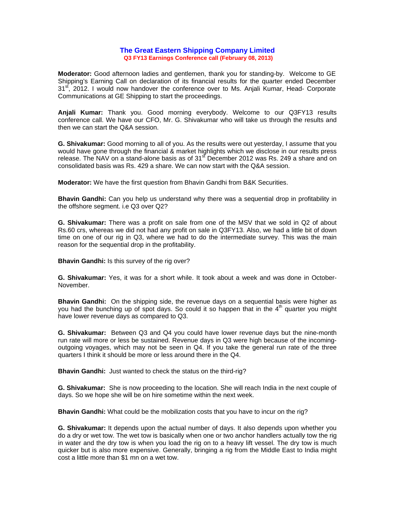## **The Great Eastern Shipping Company Limited Q3 FY13 Earnings Conference call (February 08, 2013)**

**Moderator:** Good afternoon ladies and gentlemen, thank you for standing-by. Welcome to GE Shipping's Earning Call on declaration of its financial results for the quarter ended December 31<sup>st</sup>, 2012. I would now handover the conference over to Ms. Anjali Kumar, Head- Corporate Communications at GE Shipping to start the proceedings.

**Anjali Kumar:** Thank you. Good morning everybody. Welcome to our Q3FY13 results conference call. We have our CFO, Mr. G. Shivakumar who will take us through the results and then we can start the Q&A session.

**G. Shivakumar:** Good morning to all of you. As the results were out yesterday, I assume that you would have gone through the financial & market highlights which we disclose in our results press release. The NAV on a stand-alone basis as of  $31<sup>st</sup>$  December 2012 was Rs. 249 a share and on consolidated basis was Rs. 429 a share. We can now start with the Q&A session.

**Moderator:** We have the first question from Bhavin Gandhi from B&K Securities.

**Bhavin Gandhi:** Can you help us understand why there was a sequential drop in profitability in the offshore segment. i.e Q3 over Q2?

**G. Shivakumar:** There was a profit on sale from one of the MSV that we sold in Q2 of about Rs.60 crs, whereas we did not had any profit on sale in Q3FY13. Also, we had a little bit of down time on one of our rig in Q3, where we had to do the intermediate survey. This was the main reason for the sequential drop in the profitability.

**Bhavin Gandhi:** Is this survey of the rig over?

**G. Shivakumar:** Yes, it was for a short while. It took about a week and was done in October-November.

**Bhavin Gandhi:** On the shipping side, the revenue days on a sequential basis were higher as you had the bunching up of spot days. So could it so happen that in the  $4<sup>th</sup>$  quarter you might have lower revenue days as compared to Q3.

**G. Shivakumar:** Between Q3 and Q4 you could have lower revenue days but the nine-month run rate will more or less be sustained. Revenue days in Q3 were high because of the incomingoutgoing voyages, which may not be seen in Q4. If you take the general run rate of the three quarters I think it should be more or less around there in the Q4.

**Bhavin Gandhi:** Just wanted to check the status on the third-rig?

**G. Shivakumar:** She is now proceeding to the location. She will reach India in the next couple of days. So we hope she will be on hire sometime within the next week.

**Bhavin Gandhi:** What could be the mobilization costs that you have to incur on the rig?

**G. Shivakumar:** It depends upon the actual number of days. It also depends upon whether you do a dry or wet tow. The wet tow is basically when one or two anchor handlers actually tow the rig in water and the dry tow is when you load the rig on to a heavy lift vessel. The dry tow is much quicker but is also more expensive. Generally, bringing a rig from the Middle East to India might cost a little more than \$1 mn on a wet tow.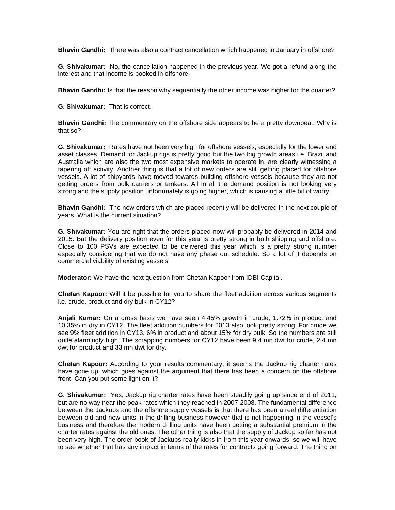**Bhavin Gandhi: T**here was also a contract cancellation which happened in January in offshore?

**G. Shivakumar:** No, the cancellation happened in the previous year. We got a refund along the interest and that income is booked in offshore.

**Bhavin Gandhi:** Is that the reason why sequentially the other income was higher for the quarter?

**G. Shivakumar:** That is correct.

**Bhavin Gandhi:** The commentary on the offshore side appears to be a pretty downbeat. Why is that so?

**G. Shivakumar:** Rates have not been very high for offshore vessels, especially for the lower end asset classes. Demand for Jackup rigs is pretty good but the two big growth areas i.e. Brazil and Australia which are also the two most expensive markets to operate in, are clearly witnessing a tapering off activity. Another thing is that a lot of new orders are still getting placed for offshore vessels. A lot of shipyards have moved towards building offshore vessels because they are not getting orders from bulk carriers or tankers. All in all the demand position is not looking very strong and the supply position unfortunately is going higher, which is causing a little bit of worry.

**Bhavin Gandhi:** The new orders which are placed recently will be delivered in the next couple of years. What is the current situation?

**G. Shivakumar:** You are right that the orders placed now will probably be delivered in 2014 and 2015. But the delivery position even for this year is pretty strong in both shipping and offshore. Close to 100 PSVs are expected to be delivered this year which is a pretty strong number especially considering that we do not have any phase out schedule. So a lot of it depends on commercial viability of existing vessels.

**Moderator:** We have the next question from Chetan Kapoor from IDBI Capital.

**Chetan Kapoor:** Will it be possible for you to share the fleet addition across various segments i.e. crude, product and dry bulk in CY12?

**Anjali Kumar:** On a gross basis we have seen 4.45% growth in crude, 1.72% in product and 10.35% in dry in CY12. The fleet addition numbers for 2013 also look pretty strong. For crude we see 9% fleet addition in CY13, 6% in product and about 15% for dry bulk. So the numbers are still quite alarmingly high. The scrapping numbers for CY12 have been 9.4 mn dwt for crude, 2.4 mn dwt for product and 33 mn dwt for dry.

**Chetan Kapoor:** According to your results commentary, it seems the Jackup rig charter rates have gone up, which goes against the argument that there has been a concern on the offshore front. Can you put some light on it?

**G. Shivakumar:** Yes, Jackup rig charter rates have been steadily going up since end of 2011, but are no way near the peak rates which they reached in 2007-2008. The fundamental difference between the Jackups and the offshore supply vessels is that there has been a real differentiation between old and new units in the drilling business however that is not happening in the vessel's business and therefore the modern drilling units have been getting a substantial premium in the charter rates against the old ones. The other thing is also that the supply of Jackup so far has not been very high. The order book of Jackups really kicks in from this year onwards, so we will have to see whether that has any impact in terms of the rates for contracts going forward. The thing on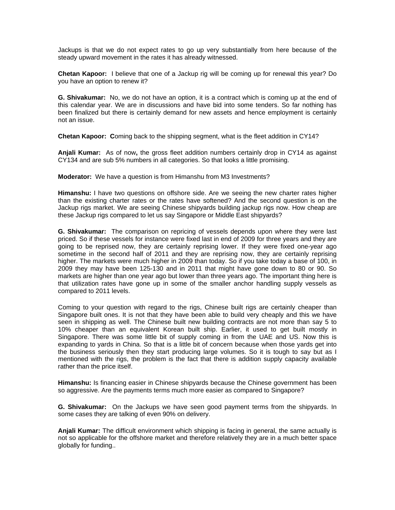Jackups is that we do not expect rates to go up very substantially from here because of the steady upward movement in the rates it has already witnessed.

**Chetan Kapoor:** I believe that one of a Jackup rig will be coming up for renewal this year? Do you have an option to renew it?

**G. Shivakumar:** No, we do not have an option, it is a contract which is coming up at the end of this calendar year. We are in discussions and have bid into some tenders. So far nothing has been finalized but there is certainly demand for new assets and hence employment is certainly not an issue.

**Chetan Kapoor: C**oming back to the shipping segment, what is the fleet addition in CY14?

**Anjali Kumar:** As of now**,** the gross fleet addition numbers certainly drop in CY14 as against CY134 and are sub 5% numbers in all categories. So that looks a little promising.

**Moderator:** We have a question is from Himanshu from M3 Investments?

**Himanshu:** I have two questions on offshore side. Are we seeing the new charter rates higher than the existing charter rates or the rates have softened? And the second question is on the Jackup rigs market. We are seeing Chinese shipyards building jackup rigs now. How cheap are these Jackup rigs compared to let us say Singapore or Middle East shipyards?

**G. Shivakumar:** The comparison on repricing of vessels depends upon where they were last priced. So if these vessels for instance were fixed last in end of 2009 for three years and they are going to be reprised now, they are certainly reprising lower. If they were fixed one-year ago sometime in the second half of 2011 and they are reprising now, they are certainly reprising higher. The markets were much higher in 2009 than today. So if you take today a base of 100, in 2009 they may have been 125-130 and in 2011 that might have gone down to 80 or 90. So markets are higher than one year ago but lower than three years ago. The important thing here is that utilization rates have gone up in some of the smaller anchor handling supply vessels as compared to 2011 levels.

Coming to your question with regard to the rigs, Chinese built rigs are certainly cheaper than Singapore built ones. It is not that they have been able to build very cheaply and this we have seen in shipping as well. The Chinese built new building contracts are not more than say 5 to 10% cheaper than an equivalent Korean built ship. Earlier, it used to get built mostly in Singapore. There was some little bit of supply coming in from the UAE and US. Now this is expanding to yards in China. So that is a little bit of concern because when those yards get into the business seriously then they start producing large volumes. So it is tough to say but as I mentioned with the rigs, the problem is the fact that there is addition supply capacity available rather than the price itself.

**Himanshu:** Is financing easier in Chinese shipyards because the Chinese government has been so aggressive. Are the payments terms much more easier as compared to Singapore?

**G. Shivakumar:** On the Jackups we have seen good payment terms from the shipyards. In some cases they are talking of even 90% on delivery.

**Anjali Kumar:** The difficult environment which shipping is facing in general, the same actually is not so applicable for the offshore market and therefore relatively they are in a much better space globally for funding..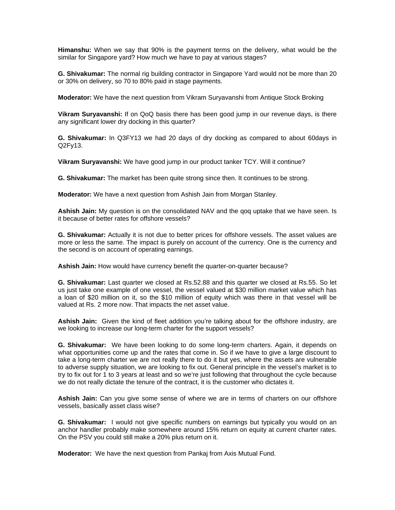**Himanshu:** When we say that 90% is the payment terms on the delivery, what would be the similar for Singapore yard? How much we have to pay at various stages?

**G. Shivakumar:** The normal rig building contractor in Singapore Yard would not be more than 20 or 30% on delivery, so 70 to 80% paid in stage payments.

**Moderator:** We have the next question from Vikram Suryavanshi from Antique Stock Broking

**Vikram Suryavanshi:** If on QoQ basis there has been good jump in our revenue days, is there any significant lower dry docking in this quarter?

**G. Shivakumar:** In Q3FY13 we had 20 days of dry docking as compared to about 60days in Q2Fy13.

**Vikram Suryavanshi:** We have good jump in our product tanker TCY. Will it continue?

**G. Shivakumar:** The market has been quite strong since then. It continues to be strong.

**Moderator:** We have a next question from Ashish Jain from Morgan Stanley.

**Ashish Jain:** My question is on the consolidated NAV and the qoq uptake that we have seen. Is it because of better rates for offshore vessels?

**G. Shivakumar:** Actually it is not due to better prices for offshore vessels. The asset values are more or less the same. The impact is purely on account of the currency. One is the currency and the second is on account of operating earnings.

**Ashish Jain:** How would have currency benefit the quarter-on-quarter because?

**G. Shivakumar:** Last quarter we closed at Rs.52.88 and this quarter we closed at Rs.55. So let us just take one example of one vessel, the vessel valued at \$30 million market value which has a loan of \$20 million on it, so the \$10 million of equity which was there in that vessel will be valued at Rs. 2 more now. That impacts the net asset value.

**Ashish Jain:** Given the kind of fleet addition you're talking about for the offshore industry, are we looking to increase our long-term charter for the support vessels?

**G. Shivakumar:** We have been looking to do some long-term charters. Again, it depends on what opportunities come up and the rates that come in. So if we have to give a large discount to take a long-term charter we are not really there to do it but yes, where the assets are vulnerable to adverse supply situation, we are looking to fix out. General principle in the vessel's market is to try to fix out for 1 to 3 years at least and so we're just following that throughout the cycle because we do not really dictate the tenure of the contract, it is the customer who dictates it.

**Ashish Jain:** Can you give some sense of where we are in terms of charters on our offshore vessels, basically asset class wise?

**G. Shivakumar:** I would not give specific numbers on earnings but typically you would on an anchor handler probably make somewhere around 15% return on equity at current charter rates. On the PSV you could still make a 20% plus return on it.

**Moderator:** We have the next question from Pankaj from Axis Mutual Fund.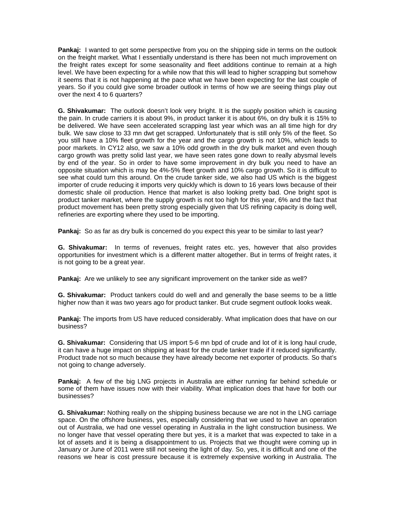**Pankaj:** I wanted to get some perspective from you on the shipping side in terms on the outlook on the freight market. What I essentially understand is there has been not much improvement on the freight rates except for some seasonality and fleet additions continue to remain at a high level. We have been expecting for a while now that this will lead to higher scrapping but somehow it seems that it is not happening at the pace what we have been expecting for the last couple of years. So if you could give some broader outlook in terms of how we are seeing things play out over the next 4 to 6 quarters?

**G. Shivakumar:** The outlook doesn't look very bright. It is the supply position which is causing the pain. In crude carriers it is about 9%, in product tanker it is about 6%, on dry bulk it is 15% to be delivered. We have seen accelerated scrapping last year which was an all time high for dry bulk. We saw close to 33 mn dwt get scrapped. Unfortunately that is still only 5% of the fleet. So you still have a 10% fleet growth for the year and the cargo growth is not 10%, which leads to poor markets. In CY12 also, we saw a 10% odd growth in the dry bulk market and even though cargo growth was pretty solid last year, we have seen rates gone down to really abysmal levels by end of the year. So in order to have some improvement in dry bulk you need to have an opposite situation which is may be 4%-5% fleet growth and 10% cargo growth. So it is difficult to see what could turn this around. On the crude tanker side, we also had US which is the biggest importer of crude reducing it imports very quickly which is down to 16 years lows because of their domestic shale oil production. Hence that market is also looking pretty bad. One bright spot is product tanker market, where the supply growth is not too high for this year, 6% and the fact that product movement has been pretty strong especially given that US refining capacity is doing well, refineries are exporting where they used to be importing.

**Pankaj:** So as far as dry bulk is concerned do you expect this year to be similar to last year?

**G. Shivakumar:** In terms of revenues, freight rates etc. yes, however that also provides opportunities for investment which is a different matter altogether. But in terms of freight rates, it is not going to be a great year.

**Pankaj:** Are we unlikely to see any significant improvement on the tanker side as well?

**G. Shivakumar:** Product tankers could do well and and generally the base seems to be a little higher now than it was two years ago for product tanker. But crude segment outlook looks weak.

**Pankaj:** The imports from US have reduced considerably. What implication does that have on our business?

**G. Shivakumar:** Considering that US import 5-6 mn bpd of crude and lot of it is long haul crude, it can have a huge impact on shipping at least for the crude tanker trade if it reduced significantly. Product trade not so much because they have already become net exporter of products. So that's not going to change adversely.

**Pankaj:** A few of the big LNG projects in Australia are either running far behind schedule or some of them have issues now with their viability. What implication does that have for both our businesses?

**G. Shivakumar:** Nothing really on the shipping business because we are not in the LNG carriage space. On the offshore business, yes, especially considering that we used to have an operation out of Australia, we had one vessel operating in Australia in the light construction business. We no longer have that vessel operating there but yes, it is a market that was expected to take in a lot of assets and it is being a disappointment to us. Projects that we thought were coming up in January or June of 2011 were still not seeing the light of day. So, yes, it is difficult and one of the reasons we hear is cost pressure because it is extremely expensive working in Australia. The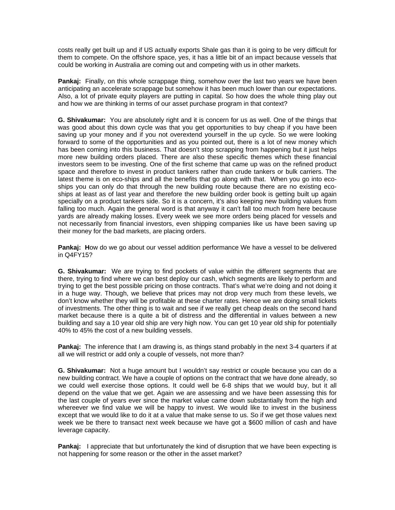costs really get built up and if US actually exports Shale gas than it is going to be very difficult for them to compete. On the offshore space, yes, it has a little bit of an impact because vessels that could be working in Australia are coming out and competing with us in other markets.

**Pankaj:** Finally, on this whole scrappage thing, somehow over the last two years we have been anticipating an accelerate scrappage but somehow it has been much lower than our expectations. Also, a lot of private equity players are putting in capital. So how does the whole thing play out and how we are thinking in terms of our asset purchase program in that context?

**G. Shivakumar:** You are absolutely right and it is concern for us as well. One of the things that was good about this down cycle was that you get opportunities to buy cheap if you have been saving up your money and if you not overextend yourself in the up cycle. So we were looking forward to some of the opportunities and as you pointed out, there is a lot of new money which has been coming into this business. That doesn't stop scrapping from happening but it just helps more new building orders placed. There are also these specific themes which these financial investors seem to be investing. One of the first scheme that came up was on the refined product space and therefore to invest in product tankers rather than crude tankers or bulk carriers. The latest theme is on eco-ships and all the benefits that go along with that. When you go into ecoships you can only do that through the new building route because there are no existing ecoships at least as of last year and therefore the new building order book is getting built up again specially on a product tankers side. So it is a concern, it's also keeping new building values from falling too much. Again the general word is that anyway it can't fall too much from here because yards are already making losses. Every week we see more orders being placed for vessels and not necessarily from financial investors, even shipping companies like us have been saving up their money for the bad markets, are placing orders.

**Pankaj: H**ow do we go about our vessel addition performance We have a vessel to be delivered in Q4FY15?

**G. Shivakumar:** We are trying to find pockets of value within the different segments that are there, trying to find where we can best deploy our cash, which segments are likely to perform and trying to get the best possible pricing on those contracts. That's what we're doing and not doing it in a huge way. Though, we believe that prices may not drop very much from these levels, we don't know whether they will be profitable at these charter rates. Hence we are doing small tickets of investments. The other thing is to wait and see if we really get cheap deals on the second hand market because there is a quite a bit of distress and the differential in values between a new building and say a 10 year old ship are very high now. You can get 10 year old ship for potentially 40% to 45% the cost of a new building vessels.

**Pankaj:** The inference that I am drawing is, as things stand probably in the next 3-4 quarters if at all we will restrict or add only a couple of vessels, not more than?

**G. Shivakumar:** Not a huge amount but I wouldn't say restrict or couple because you can do a new building contract. We have a couple of options on the contract that we have done already, so we could well exercise those options. It could well be 6-8 ships that we would buy, but it all depend on the value that we get. Again we are assessing and we have been assessing this for the last couple of years ever since the market value came down substantially from the high and whereever we find value we will be happy to invest. We would like to invest in the business except that we would like to do it at a value that make sense to us. So if we get those values next week we be there to transact next week because we have got a \$600 million of cash and have leverage capacity.

**Pankaj:** I appreciate that but unfortunately the kind of disruption that we have been expecting is not happening for some reason or the other in the asset market?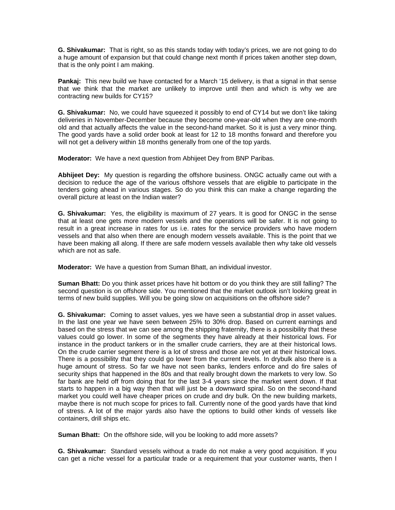**G. Shivakumar:** That is right, so as this stands today with today's prices, we are not going to do a huge amount of expansion but that could change next month if prices taken another step down, that is the only point I am making.

**Pankaj:** This new build we have contacted for a March '15 delivery, is that a signal in that sense that we think that the market are unlikely to improve until then and which is why we are contracting new builds for CY15?

**G. Shivakumar:** No, we could have squeezed it possibly to end of CY14 but we don't like taking deliveries in November-December because they become one-year-old when they are one-month old and that actually affects the value in the second-hand market. So it is just a very minor thing. The good yards have a solid order book at least for 12 to 18 months forward and therefore you will not get a delivery within 18 months generally from one of the top yards.

**Moderator:** We have a next question from Abhijeet Dey from BNP Paribas.

**Abhijeet Dey:** My question is regarding the offshore business. ONGC actually came out with a decision to reduce the age of the various offshore vessels that are eligible to participate in the tenders going ahead in various stages. So do you think this can make a change regarding the overall picture at least on the Indian water?

**G. Shivakumar:** Yes, the eligibility is maximum of 27 years. It is good for ONGC in the sense that at least one gets more modern vessels and the operations will be safer. It is not going to result in a great increase in rates for us i.e. rates for the service providers who have modern vessels and that also when there are enough modern vessels available. This is the point that we have been making all along. If there are safe modern vessels available then why take old vessels which are not as safe.

**Moderator:** We have a question from Suman Bhatt, an individual investor.

**Suman Bhatt:** Do you think asset prices have hit bottom or do you think they are still falling? The second question is on offshore side. You mentioned that the market outlook isn't looking great in terms of new build supplies. Will you be going slow on acquisitions on the offshore side?

**G. Shivakumar:** Coming to asset values, yes we have seen a substantial drop in asset values. In the last one year we have seen between 25% to 30% drop. Based on current earnings and based on the stress that we can see among the shipping fraternity, there is a possibility that these values could go lower. In some of the segments they have already at their historical lows. For instance in the product tankers or in the smaller crude carriers, they are at their historical lows. On the crude carrier segment there is a lot of stress and those are not yet at their historical lows. There is a possibility that they could go lower from the current levels. In drybulk also there is a huge amount of stress. So far we have not seen banks, lenders enforce and do fire sales of security ships that happened in the 80s and that really brought down the markets to very low. So far bank are held off from doing that for the last 3-4 years since the market went down. If that starts to happen in a big way then that will just be a downward spiral. So on the second-hand market you could well have cheaper prices on crude and dry bulk. On the new building markets, maybe there is not much scope for prices to fall. Currently none of the good yards have that kind of stress. A lot of the major yards also have the options to build other kinds of vessels like containers, drill ships etc.

**Suman Bhatt:** On the offshore side, will you be looking to add more assets?

**G. Shivakumar:** Standard vessels without a trade do not make a very good acquisition. If you can get a niche vessel for a particular trade or a requirement that your customer wants, then I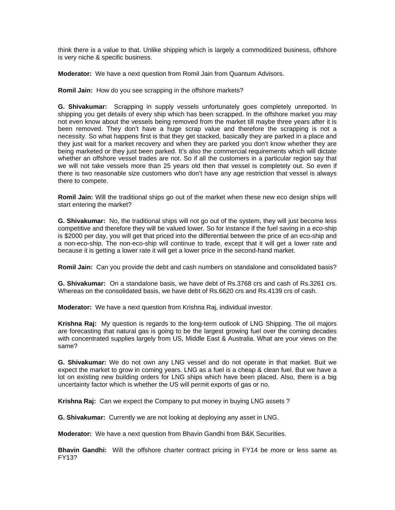think there is a value to that. Unlike shipping which is largely a commoditized business, offshore is very niche & specific business.

**Moderator:** We have a next question from Romil Jain from Quantum Advisors.

**Romil Jain:** How do you see scrapping in the offshore markets?

**G. Shivakumar:** Scrapping in supply vessels unfortunately goes completely unreported. In shipping you get details of every ship which has been scrapped. In the offshore market you may not even know about the vessels being removed from the market till maybe three years after it is been removed. They don't have a huge scrap value and therefore the scrapping is not a necessity. So what happens first is that they get stacked, basically they are parked in a place and they just wait for a market recovery and when they are parked you don't know whether they are being marketed or they just been parked. It's also the commercial requirements which will dictate whether an offshore vessel trades are not. So if all the customers in a particular region say that we will not take vessels more than 25 years old then that vessel is completely out. So even if there is two reasonable size customers who don't have any age restriction that vessel is always there to compete.

**Romil Jain:** Will the traditional ships go out of the market when these new eco design ships will start entering the market?

**G. Shivakumar:** No, the traditional ships will not go out of the system, they will just become less competitive and therefore they will be valued lower. So for instance if the fuel saving in a eco-ship is \$2000 per day, you will get that priced into the differential between the price of an eco-ship and a non-eco-ship. The non-eco-ship will continue to trade, except that it will get a lower rate and because it is getting a lower rate it will get a lower price in the second-hand market.

**Romil Jain:** Can you provide the debt and cash numbers on standalone and consolidated basis?

**G. Shivakumar:** On a standalone basis, we have debt of Rs.3768 crs and cash of Rs.3261 crs. Whereas on the consolidated basis, we have debt of Rs.6620 crs and Rs.4139 crs of cash.

**Moderator:** We have a next question from Krishna Raj, individual investor.

**Krishna Raj:** My question is regards to the long-term outlook of LNG Shipping. The oil majors are forecasting that natural gas is going to be the largest growing fuel over the coming decades with concentrated supplies largely from US, Middle East & Australia. What are your views on the same?

**G. Shivakumar:** We do not own any LNG vessel and do not operate in that market. Buit we expect the market to grow in coming years. LNG as a fuel is a cheap & clean fuel. But we have a lot on existing new building orders for LNG ships which have been placed. Also, there is a big uncertainty factor which is whether the US will permit exports of gas or no.

**Krishna Raj:** Can we expect the Company to put money in buying LNG assets ?

**G. Shivakumar:** Currently we are not looking at deploying any asset in LNG.

**Moderator:** We have a next question from Bhavin Gandhi from B&K Securities.

**Bhavin Gandhi:** Will the offshore charter contract pricing in FY14 be more or less same as FY13?